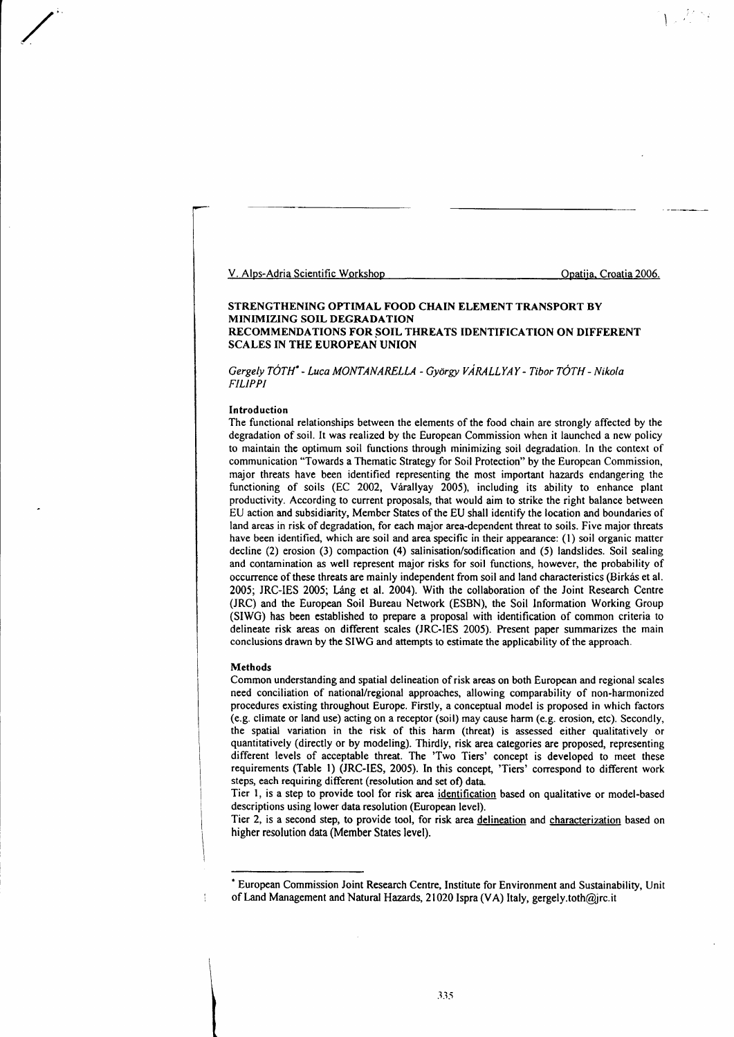V. Alps-Adria Scientific Workshop Computer Control Control Control Control Opatija, Croatia 2006.

# STRENGTHENING OPTIMAL FOOD CHAIN ELEMENT TRANSPORT BY MINIMIZING SOIL DEGRADATION RECOMMENDATIONS FOR SOIL THREATS IDENTIFICATION ON DIFFERENT SCALES IN THE EUROPEAN UNION

Gergely TÓTH<sup>\*</sup> - Luca MONTANARELLA - György VÁRALLYAY - Tibor TÓTH - Nikola FILIPPI

### Introduction

/

The functional relationships between the elements of the food chain are strongly affected by the degradation of soil. It was realized by the European Commission when it launched a new policy to maintain the optimum soil functions through minimizing soil degradation. In the context of communication "Towards a Thematic Strategy for Soil Protection" by the European Commission, major threats have been identified representing the most important hazards endangering the functioning of soils (EC 2002, Várallyay 2005), including its ability to enhance plant productivity. According to current proposals, that would aim to strike the right balance between EU action and subsidiarity, Member States of the EU shall identify the location and boundaries of land areas in risk of degradation, for each major area-dependent threat to soils. Five major threats have been identified, which are soil and area specific in their appearance: (l) soil organic matter decline (2) erosion (3) compaction (4) salinisation/sodification and (5) landslides. Soil sealing and contamination as well represent major risks for soil functions, however, the probability of occurrenes of these thrcats are mainly independent from soil and land characteristics (Birkas et al. 2005; JRC-IES 2005; Láng et al. 2004). With the collaboration of the Joint Research Centre (JRC) and the European Soil Bureau Network (ESBN), the Soil lnformation Working Group (SIWG) has been established to prepare a proposal with identification of common criteria to delineate risk areas on different scales (JRC-IES 2005). Present paper summarizes the main conclusions drawn by the SIWG and attempts to estimate the applicability of the approach.

## Methods

Common understanding and spatial delineation of risk arcas on both European and regional scales need conciliation of national/regional approaches, allowing comparability of non-harmonized procedures existing throughout Europe. Firstly, a conceptual model is proposed in which factors (e.g. climate or land use) acting on a receptor (soil) may cause harm (e.g. erosion, etc). Sccondly, the spatial variation in the risk of this harm (threat) is assessed either qualitatively or quantitatively (directly or by modeling). Thirdly, risk area categories are proposed, representing different levels of acceptable threat. The 'Two Tiers' concept is developed to meet these requirements (Table 1) (JRC-IES, 2005). In this concept, 'Tiers' correspond to different work steps, each requiring different (resolution and set of) data

Tier l, is a step to provide tool for risk area identification based on qualitative or model-based descriptions using lower data resolution (European level).

Tier 2, is a second step, to provide tool, for risk area delineation and characterization based on higher resolution data (Member States level).

<sup>&#</sup>x27; European Commission Joint Research Centre, Institute for Environment and Sustainability, Unit of Land Management and Natural Hazards, 21020 Ispra (VA) Italy, gergely.toth@jrc.it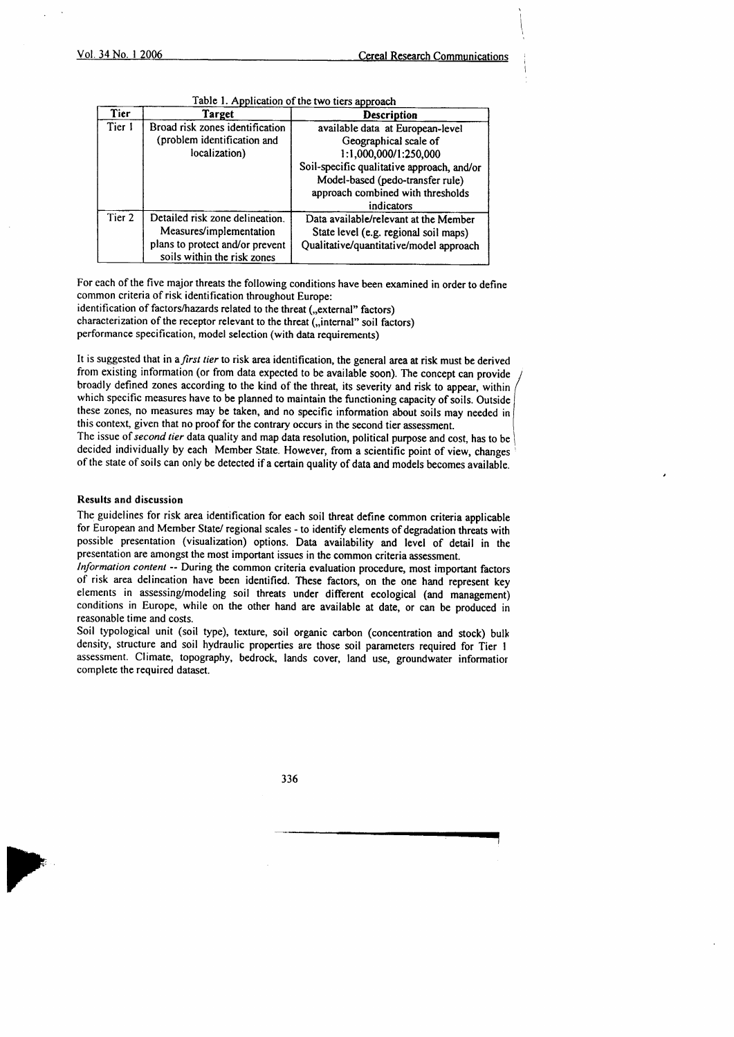I

| Tier   | Target                                                         | <b>Description</b>                         |
|--------|----------------------------------------------------------------|--------------------------------------------|
| Tier 1 | Broad risk zones identification                                | available data at European-level           |
|        | (problem identification and                                    | Geographical scale of                      |
|        | localization)                                                  | 1:1,000,000/1:250,000                      |
|        |                                                                | Soil-specific qualitative approach, and/or |
|        |                                                                | Model-based (pedo-transfer rule)           |
|        |                                                                | approach combined with thresholds          |
|        |                                                                | indicators                                 |
| Tier 2 | Detailed risk zone delineation.                                | Data available/relevant at the Member      |
|        | Measures/implementation                                        | State level (e.g. regional soil maps)      |
|        | plans to protect and/or prevent<br>soils within the risk zones | Qualitative/quantitative/model approach    |

 $Table 1$  Application of the two ties openearly

For each of the five major threats the following conditions have been examined in order to define common criteria of risk identification throughout Europe: identification of factors/hazards related to the threat ("external" factors) characterization of the receptor relevant to the threat (,,internal" soil factors)

performance specification, model selection (with data requirements)

It is suggested that in a first tier to risk area identification, the general area at risk must be derived from existing information (or from data expected to be available soon). The concept can provide broadly defined zones according to the kind of the threat, its severity and risk to appear, within / which specific measures have to be planned to maintain the functioning capacity of soils. Outside these zones, no measures may be taken, and no specific information about soils may needed in this context, given that no proof for the contrary occurs in the second tier assessment. The issue of second tier data quality and map data resolution, political purpose and cost, has to be decided individually by each Member State. However, from a scientific point of view, changes of the state of soils can only be detected if a certain quality of data and models becomes available.

## Results and discussion

The guidelines for risk area identification for each soil threat define common criteria applicable for European and Member State/ regional scales - to identify elements of degradation threats with possible presentation (visualization) options. Data availability and level of detail in the presentation are amongst the most important issues in the common criteria assessment.

lnformation content -- During the common criteria evaluation procedure, most important factors of risk area delineation have bcen idcntified. These factors, on the onc hand represent key elements in assessing/modeling soil threats under different ecological (and management) conditions in Europe, while on the other hand are available at date, or can be produced in reasonable time and costs.

Soil typological unit (soil type), texture, soil organic carbon (concentration and stock) bulk densiry, structure and soil hydraulic properties are those soil parameters required for Tier I assessment. Climate, topography, bedrock, lands cover, tand use, groundwater informatior complete the required dataset.

336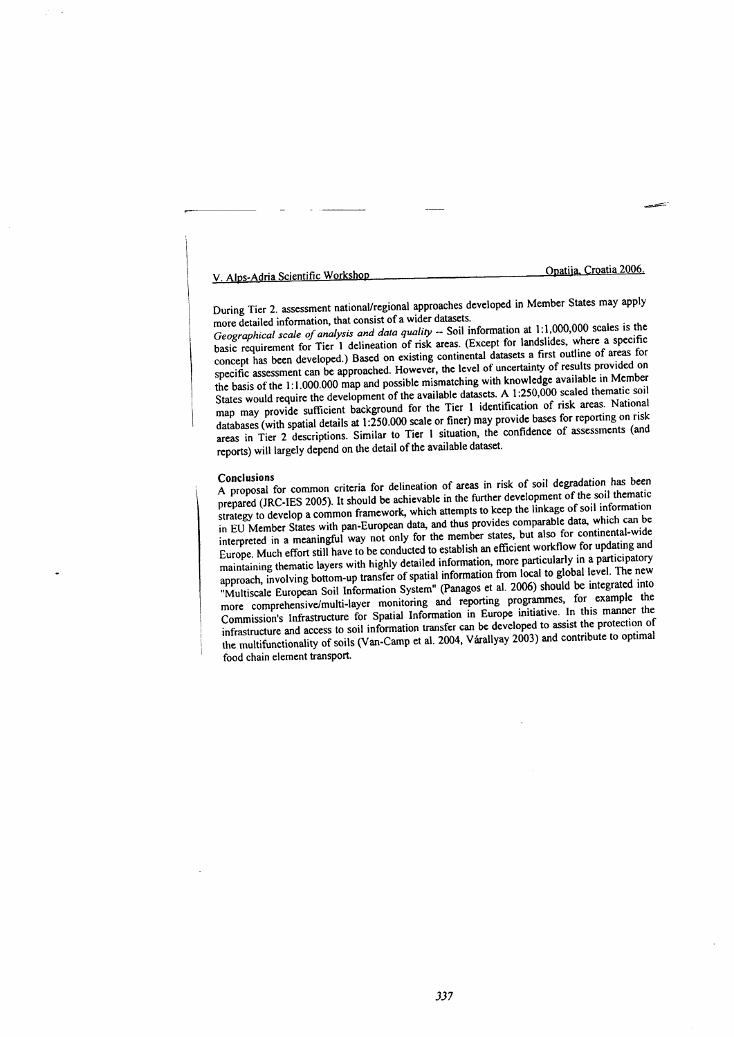V. Alps-Adria Scientific Workshop

Opatija, Croatia 2006.

During Tier 2. assessment national/regional approaches developed in Member States may apply more detailed information, that consist of a wider datasets.

Geographical scale of analysis and data quality -- Soil information at 1:1,000,000 scales is the basic requirement for Tier 1 delineation of risk areas. (Except for landslides, where a specific concept has been developed.) Based on existing continental datasets a first outline of areas for specific assessment can be approached. However, the level of uncertainty of results provided on the basis of the 1:1.000.000 map and possible mismatching with knowledge available in Member States would require the development of the available datasets. A 1:250,000 scaled thematic soil map may provide sufficient background for the Tier 1 identification of risk areas. National databases (with spatial details at 1:250.000 scale or finer) may provide bases for reporting on risk areas in Tier 2 descriptions. Similar to Tier 1 situation, the confidence of assessments (and reports) will largely depend on the detail of the available dataset.

#### **Conclusions**

A proposal for common criteria for delineation of areas in risk of soil degradation has been prepared (JRC-IES 2005). It should be achievable in the further development of the soil thematic strategy to develop a common framework, which attempts to keep the linkage of soil information in EU Member States with pan-European data, and thus provides comparable data, which can be interpreted in a meaningful way not only for the member states, but also for continental-wide Europe. Much effort still have to be conducted to establish an efficient workflow for updating and maintaining thematic layers with highly detailed information, more particularly in a participatory approach, involving bottom-up transfer of spatial information from local to global level. The new "Multiscale European Soil Information System" (Panagos et al. 2006) should be integrated into more comprehensive/multi-layer monitoring and reporting programmes, for example the Commission's Infrastructure for Spatial Information in Europe initiative. In this manner the infrastructure and access to soil information transfer can be developed to assist the protection of the multifunctionality of soils (Van-Camp et al. 2004, Varallyay 2003) and contribute to optimal food chain element transport.